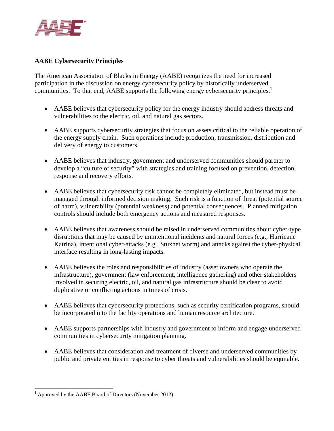

## **AABE Cybersecurity Principles**

The American Association of Blacks in Energy (AABE) recognizes the need for increased participation in the discussion on energy cybersecurity policy by historically underserved communities. To that end, AABE supports the following energy cybersecurity principles.<sup>1</sup>

- AABE believes that cybersecurity policy for the energy industry should address threats and vulnerabilities to the electric, oil, and natural gas sectors.
- AABE supports cybersecurity strategies that focus on assets critical to the reliable operation of the energy supply chain. Such operations include production, transmission, distribution and delivery of energy to customers.
- AABE believes that industry, government and underserved communities should partner to develop a "culture of security" with strategies and training focused on prevention, detection, response and recovery efforts.
- AABE believes that cybersecurity risk cannot be completely eliminated, but instead must be managed through informed decision making. Such risk is a function of threat (potential source of harm), vulnerability (potential weakness) and potential consequences. Planned mitigation controls should include both emergency actions and measured responses.
- AABE believes that awareness should be raised in underserved communities about cyber-type disruptions that may be caused by unintentional incidents and natural forces (e.g., Hurricane Katrina), intentional cyber-attacks (e.g., Stuxnet worm) and attacks against the cyber-physical interface resulting in long-lasting impacts.
- AABE believes the roles and responsibilities of industry (asset owners who operate the infrastructure), government (law enforcement, intelligence gathering) and other stakeholders involved in securing electric, oil, and natural gas infrastructure should be clear to avoid duplicative or conflicting actions in times of crisis.
- AABE believes that cybersecurity protections, such as security certification programs, should be incorporated into the facility operations and human resource architecture.
- AABE supports partnerships with industry and government to inform and engage underserved communities in cybersecurity mitigation planning.
- AABE believes that consideration and treatment of diverse and underserved communities by public and private entities in response to cyber threats and vulnerabilities should be equitable.

<sup>&</sup>lt;sup>1</sup> Approved by the AABE Board of Directors (November 2012)